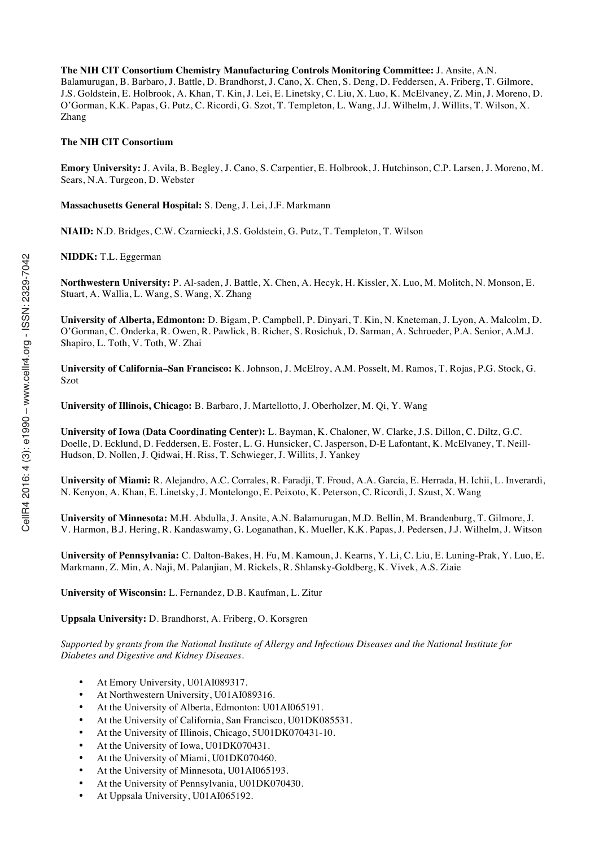**The NIH CIT Consortium Chemistry Manufacturing Controls Monitoring Committee:** J. Ansite, A.N. Balamurugan, B. Barbaro, J. Battle, D. Brandhorst, J. Cano, X. Chen, S. Deng, D. Feddersen, A. Friberg, T. Gilmore, J.S. Goldstein, E. Holbrook, A. Khan, T. Kin, J. Lei, E. Linetsky, C. Liu, X. Luo, K. McElvaney, Z. Min, J. Moreno, D. O'Gorman, K.K. Papas, G. Putz, C. Ricordi, G. Szot, T. Templeton, L. Wang, J.J. Wilhelm, J. Willits, T. Wilson, X. Zhang

## **The NIH CIT Consortium**

**Emory University:** J. Avila, B. Begley, J. Cano, S. Carpentier, E. Holbrook, J. Hutchinson, C.P. Larsen, J. Moreno, M. Sears, N.A. Turgeon, D. Webster

**Massachusetts General Hospital:** S. Deng, J. Lei, J.F. Markmann

**NIAID:** N.D. Bridges, C.W. Czarniecki, J.S. Goldstein, G. Putz, T. Templeton, T. Wilson

**NIDDK:** T.L. Eggerman

**Northwestern University:** P. Al-saden, J. Battle, X. Chen, A. Hecyk, H. Kissler, X. Luo, M. Molitch, N. Monson, E. Stuart, A. Wallia, L. Wang, S. Wang, X. Zhang

**University of Alberta, Edmonton:** D. Bigam, P. Campbell, P. Dinyari, T. Kin, N. Kneteman, J. Lyon, A. Malcolm, D. O'Gorman, C. Onderka, R. Owen, R. Pawlick, B. Richer, S. Rosichuk, D. Sarman, A. Schroeder, P.A. Senior, A.M.J. Shapiro, L. Toth, V. Toth, W. Zhai

**University of California–San Francisco:** K. Johnson, J. McElroy, A.M. Posselt, M. Ramos, T. Rojas, P.G. Stock, G. Szot

**University of Illinois, Chicago:** B. Barbaro, J. Martellotto, J. Oberholzer, M. Qi, Y. Wang

**University of Iowa (Data Coordinating Center):** L. Bayman, K. Chaloner, W. Clarke, J.S. Dillon, C. Diltz, G.C. Doelle, D. Ecklund, D. Feddersen, E. Foster, L. G. Hunsicker, C. Jasperson, D-E Lafontant, K. McElvaney, T. Neill-Hudson, D. Nollen, J. Qidwai, H. Riss, T. Schwieger, J. Willits, J. Yankey

**University of Miami:** R. Alejandro, A.C. Corrales, R. Faradji, T. Froud, A.A. Garcia, E. Herrada, H. Ichii, L. Inverardi, N. Kenyon, A. Khan, E. Linetsky, J. Montelongo, E. Peixoto, K. Peterson, C. Ricordi, J. Szust, X. Wang

**University of Minnesota:** M.H. Abdulla, J. Ansite, A.N. Balamurugan, M.D. Bellin, M. Brandenburg, T. Gilmore, J. V. Harmon, B.J. Hering, R. Kandaswamy, G. Loganathan, K. Mueller, K.K. Papas, J. Pedersen, J.J. Wilhelm, J. Witson

**University of Pennsylvania:** C. Dalton-Bakes, H. Fu, M. Kamoun, J. Kearns, Y. Li, C. Liu, E. Luning-Prak, Y. Luo, E. Markmann, Z. Min, A. Naji, M. Palanjian, M. Rickels, R. Shlansky-Goldberg, K. Vivek, A.S. Ziaie

**University of Wisconsin:** L. Fernandez, D.B. Kaufman, L. Zitur

**Uppsala University:** D. Brandhorst, A. Friberg, O. Korsgren

*Supported by grants from the National Institute of Allergy and Infectious Diseases and the National Institute for Diabetes and Digestive and Kidney Diseases.*

- At Emory University, U01AI089317.
- At Northwestern University, U01AI089316.
- At the University of Alberta, Edmonton: U01AI065191.
- At the University of California, San Francisco, U01DK085531.
- At the University of Illinois, Chicago, 5U01DK070431-10.
- At the University of Iowa, U01DK070431.
- At the University of Miami, U01DK070460.
- At the University of Minnesota, U01AI065193.
- At the University of Pennsylvania, U01DK070430.
- At Uppsala University, U01AI065192.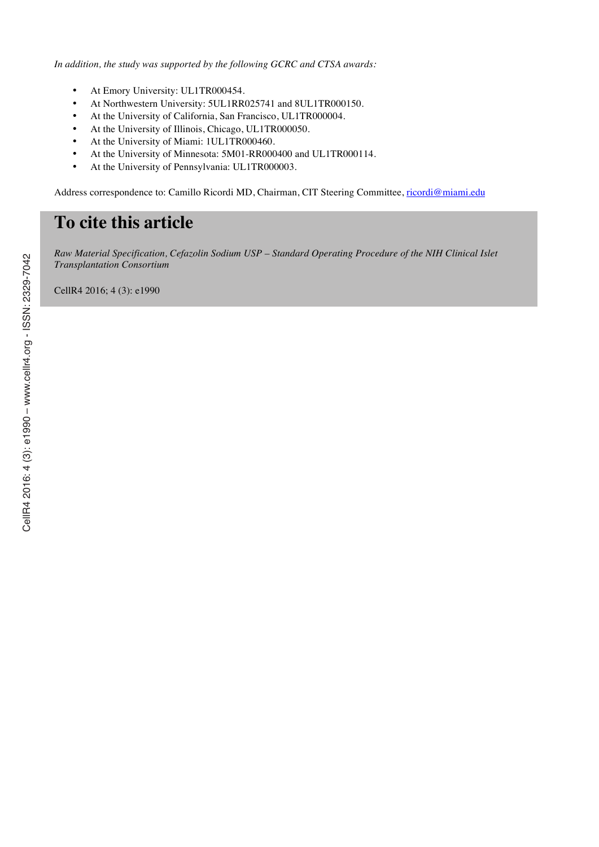*In addition, the study was supported by the following GCRC and CTSA awards:*

- At Emory University: UL1TR000454.
- At Northwestern University: 5UL1RR025741 and 8UL1TR000150.
- At the University of California, San Francisco, UL1TR000004.
- At the University of Illinois, Chicago, UL1TR000050.
- At the University of Miami: 1UL1TR000460.
- At the University of Minnesota: 5M01-RR000400 and UL1TR000114.
- At the University of Pennsylvania: UL1TR000003.

Address correspondence to: Camillo Ricordi MD, Chairman, CIT Steering Committee, ricordi@miami.edu

# **To cite this article**

*Raw Material Specification, Cefazolin Sodium USP – Standard Operating Procedure of the NIH Clinical Islet Transplantation Consortium*

CellR4 2016; 4 (3): e1990